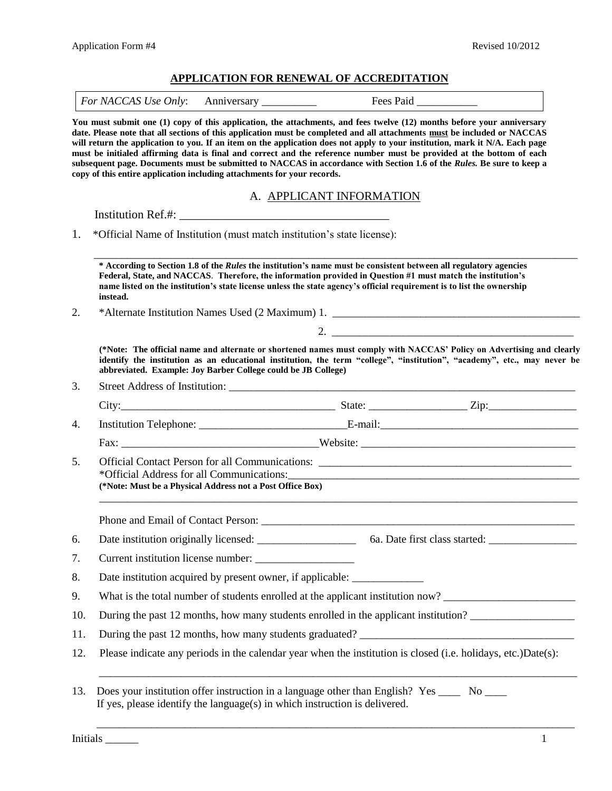## **APPLICATION FOR RENEWAL OF ACCREDITATION**

|            | copy of this entire application including attachments for your records.                                | You must submit one (1) copy of this application, the attachments, and fees twelve (12) months before your anniversary<br>date. Please note that all sections of this application must be completed and all attachments must be included or NACCAS<br>will return the application to you. If an item on the application does not apply to your institution, mark it N/A. Each page<br>must be initialed affirming data is final and correct and the reference number must be provided at the bottom of each<br>subsequent page. Documents must be submitted to NACCAS in accordance with Section 1.6 of the Rules. Be sure to keep a |  |
|------------|--------------------------------------------------------------------------------------------------------|--------------------------------------------------------------------------------------------------------------------------------------------------------------------------------------------------------------------------------------------------------------------------------------------------------------------------------------------------------------------------------------------------------------------------------------------------------------------------------------------------------------------------------------------------------------------------------------------------------------------------------------|--|
|            |                                                                                                        | A. APPLICANT INFORMATION                                                                                                                                                                                                                                                                                                                                                                                                                                                                                                                                                                                                             |  |
|            |                                                                                                        |                                                                                                                                                                                                                                                                                                                                                                                                                                                                                                                                                                                                                                      |  |
| 1.         | *Official Name of Institution (must match institution's state license):                                |                                                                                                                                                                                                                                                                                                                                                                                                                                                                                                                                                                                                                                      |  |
|            | instead.                                                                                               | * According to Section 1.8 of the Rules the institution's name must be consistent between all regulatory agencies<br>Federal, State, and NACCAS. Therefore, the information provided in Question #1 must match the institution's<br>name listed on the institution's state license unless the state agency's official requirement is to list the ownership                                                                                                                                                                                                                                                                           |  |
| 2.         |                                                                                                        |                                                                                                                                                                                                                                                                                                                                                                                                                                                                                                                                                                                                                                      |  |
|            |                                                                                                        |                                                                                                                                                                                                                                                                                                                                                                                                                                                                                                                                                                                                                                      |  |
|            |                                                                                                        |                                                                                                                                                                                                                                                                                                                                                                                                                                                                                                                                                                                                                                      |  |
|            | abbreviated. Example: Joy Barber College could be JB College)                                          | (*Note: The official name and alternate or shortened names must comply with NACCAS' Policy on Advertising and clearly<br>identify the institution as an educational institution, the term "college", "institution", "academy", etc., may never be                                                                                                                                                                                                                                                                                                                                                                                    |  |
| 3.         |                                                                                                        |                                                                                                                                                                                                                                                                                                                                                                                                                                                                                                                                                                                                                                      |  |
|            |                                                                                                        |                                                                                                                                                                                                                                                                                                                                                                                                                                                                                                                                                                                                                                      |  |
| 4.         |                                                                                                        |                                                                                                                                                                                                                                                                                                                                                                                                                                                                                                                                                                                                                                      |  |
|            |                                                                                                        |                                                                                                                                                                                                                                                                                                                                                                                                                                                                                                                                                                                                                                      |  |
| 5.         | *Official Address for all Communications:<br>(*Note: Must be a Physical Address not a Post Office Box) | <u> 1989 - Johann Stein, marwolaethau a bhann an chomhair an chomhair an chomhair an chomhair an chomhair an cho</u>                                                                                                                                                                                                                                                                                                                                                                                                                                                                                                                 |  |
|            |                                                                                                        |                                                                                                                                                                                                                                                                                                                                                                                                                                                                                                                                                                                                                                      |  |
| 6.         |                                                                                                        |                                                                                                                                                                                                                                                                                                                                                                                                                                                                                                                                                                                                                                      |  |
|            |                                                                                                        |                                                                                                                                                                                                                                                                                                                                                                                                                                                                                                                                                                                                                                      |  |
| 7.<br>8.   |                                                                                                        | Date institution acquired by present owner, if applicable: ______________________                                                                                                                                                                                                                                                                                                                                                                                                                                                                                                                                                    |  |
| 9.         |                                                                                                        | What is the total number of students enrolled at the applicant institution now?                                                                                                                                                                                                                                                                                                                                                                                                                                                                                                                                                      |  |
|            |                                                                                                        | During the past 12 months, how many students enrolled in the applicant institution?                                                                                                                                                                                                                                                                                                                                                                                                                                                                                                                                                  |  |
| 10.<br>11. |                                                                                                        |                                                                                                                                                                                                                                                                                                                                                                                                                                                                                                                                                                                                                                      |  |

\_\_\_\_\_\_\_\_\_\_\_\_\_\_\_\_\_\_\_\_\_\_\_\_\_\_\_\_\_\_\_\_\_\_\_\_\_\_\_\_\_\_\_\_\_\_\_\_\_\_\_\_\_\_\_\_\_\_\_\_\_\_\_\_\_\_\_\_\_\_\_\_\_\_\_\_\_\_\_\_\_\_\_\_\_\_\_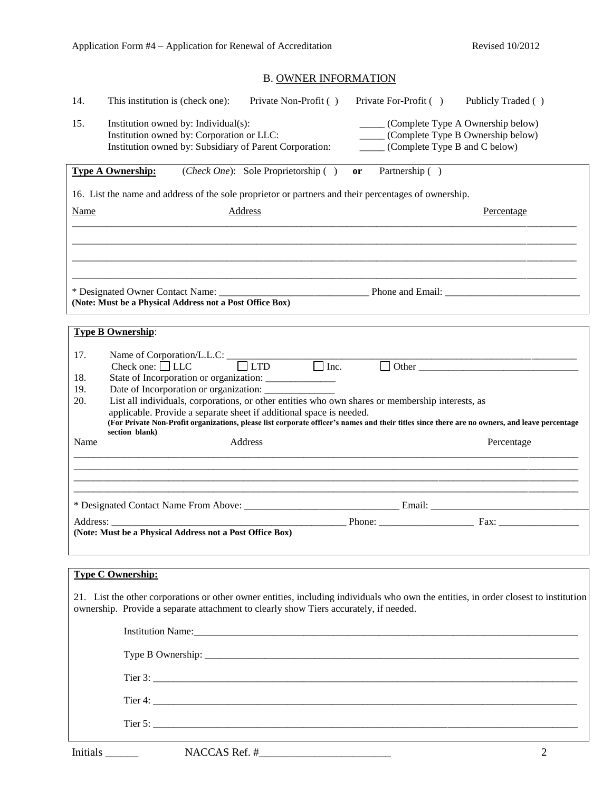# B. OWNER INFORMATION

| 14.         | Private Non-Profit ()<br>Private For-Profit ()<br>This institution is (check one):<br>Publicly Traded ()                                                                                                                                                                    |
|-------------|-----------------------------------------------------------------------------------------------------------------------------------------------------------------------------------------------------------------------------------------------------------------------------|
| 15.         | ______ (Complete Type A Ownership below)<br>Institution owned by: Individual(s):<br>Institution owned by: Corporation or LLC:<br>_____ (Complete Type B Ownership below)<br>Institution owned by: Subsidiary of Parent Corporation:<br>______ (Complete Type B and C below) |
|             | <b>Type A Ownership:</b><br>( <i>Check One</i> ): Sole Proprietorship ()<br>Partnership ()<br>or                                                                                                                                                                            |
|             | 16. List the name and address of the sole proprietor or partners and their percentages of ownership.                                                                                                                                                                        |
| <b>Name</b> | Address<br><b>Percentage</b>                                                                                                                                                                                                                                                |
|             |                                                                                                                                                                                                                                                                             |
|             |                                                                                                                                                                                                                                                                             |
|             |                                                                                                                                                                                                                                                                             |
|             | (Note: Must be a Physical Address not a Post Office Box)                                                                                                                                                                                                                    |
|             | <b>Type B Ownership:</b>                                                                                                                                                                                                                                                    |
| 17.         | Name of Corporation/L.L.C: $\qquad \qquad \qquad$ LTD $\qquad \qquad$ Inc.<br>$\boxed{\phantom{2}\text{Other}}$<br>Check one: $\Box$ LLC                                                                                                                                    |
| 18.<br>19.  |                                                                                                                                                                                                                                                                             |
| 20.         | Date of Incorporation or organization: __________<br>List all individuals, corporations, or other entities who own shares or membership interests, as                                                                                                                       |
|             | applicable. Provide a separate sheet if additional space is needed.<br>(For Private Non-Profit organizations, please list corporate officer's names and their titles since there are no owners, and leave percentage                                                        |
| Name        | section blank)<br>Address<br>Percentage                                                                                                                                                                                                                                     |
|             |                                                                                                                                                                                                                                                                             |
|             |                                                                                                                                                                                                                                                                             |
|             |                                                                                                                                                                                                                                                                             |
|             | (Note: Must be a Physical Address not a Post Office Box)                                                                                                                                                                                                                    |
|             |                                                                                                                                                                                                                                                                             |
|             | <b>Type C Ownership:</b>                                                                                                                                                                                                                                                    |
|             |                                                                                                                                                                                                                                                                             |
|             |                                                                                                                                                                                                                                                                             |
|             | 21. List the other corporations or other owner entities, including individuals who own the entities, in order closest to institution<br>ownership. Provide a separate attachment to clearly show Tiers accurately, if needed.                                               |
|             |                                                                                                                                                                                                                                                                             |
|             |                                                                                                                                                                                                                                                                             |
|             |                                                                                                                                                                                                                                                                             |
|             | Tier 3: $\overline{\phantom{a}}$                                                                                                                                                                                                                                            |
|             |                                                                                                                                                                                                                                                                             |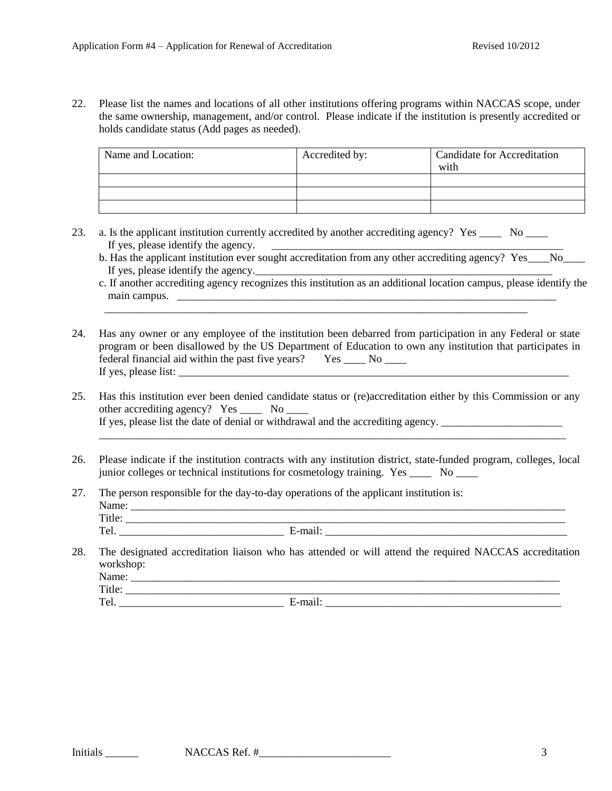22. Please list the names and locations of all other institutions offering programs within NACCAS scope, under the same ownership, management, and/or control. Please indicate if the institution is presently accredited or holds candidate status (Add pages as needed).

| Name and Location: | Accredited by: | <b>Candidate for Accreditation</b><br>with |
|--------------------|----------------|--------------------------------------------|
|                    |                |                                            |
|                    |                |                                            |
|                    |                |                                            |

23. a. Is the applicant institution currently accredited by another accrediting agency? Yes No If yes, please identify the agency.  $\qquad \qquad \qquad$ 

\_\_\_\_\_\_\_\_\_\_\_\_\_\_\_\_\_\_\_\_\_\_\_\_\_\_\_\_\_\_\_\_\_\_\_\_\_\_\_\_\_\_\_\_\_\_\_\_\_\_\_\_\_\_\_\_\_\_\_\_\_\_\_\_\_\_\_\_\_\_\_\_\_\_\_\_\_

- b. Has the applicant institution ever sought accreditation from any other accrediting agency? Yes No If yes, please identify the agency.
- c. If another accrediting agency recognizes this institution as an additional location campus, please identify the main campus. \_\_\_\_\_\_\_\_\_\_\_\_\_\_\_\_\_\_\_\_\_\_\_\_\_\_\_\_\_\_\_\_\_\_\_\_\_\_\_\_\_\_\_\_\_\_\_\_\_\_\_\_\_\_\_\_\_\_\_\_\_\_\_\_\_\_\_\_\_
- 24. Has any owner or any employee of the institution been debarred from participation in any Federal or state program or been disallowed by the US Department of Education to own any institution that participates in federal financial aid within the past five years? Yes \_\_\_\_ No \_\_\_\_ If yes, please list:
- 25. Has this institution ever been denied candidate status or (re)accreditation either by this Commission or any other accrediting agency? Yes \_\_\_\_\_ No \_\_\_\_ If yes, please list the date of denial or withdrawal and the accrediting agency. \_\_\_\_\_\_\_\_\_\_\_\_\_\_\_\_\_\_\_\_\_\_\_\_\_\_\_\_\_

\_\_\_\_\_\_\_\_\_\_\_\_\_\_\_\_\_\_\_\_\_\_\_\_\_\_\_\_\_\_\_\_\_\_\_\_\_\_\_\_\_\_\_\_\_\_\_\_\_\_\_\_\_\_\_\_\_\_\_\_\_\_\_\_\_\_\_\_\_\_\_\_\_\_\_\_\_\_\_\_\_\_\_\_\_

- 26. Please indicate if the institution contracts with any institution district, state-funded program, colleges, local junior colleges or technical institutions for cosmetology training. Yes \_\_\_\_ No \_\_\_\_
- 27. The person responsible for the day-to-day operations of the applicant institution is: Name: \_\_\_\_\_\_\_\_\_\_\_\_\_\_\_\_\_\_\_\_\_\_\_\_\_\_\_\_\_\_\_\_\_\_\_\_\_\_\_\_\_\_\_\_\_\_\_\_\_\_\_\_\_\_\_\_\_\_\_\_\_\_\_\_\_\_\_\_\_\_\_\_\_\_\_\_\_\_\_ Title: \_\_\_\_\_\_\_\_\_\_\_\_\_\_\_\_\_\_\_\_\_\_\_\_\_\_\_\_\_\_\_\_\_\_\_\_\_\_\_\_\_\_\_\_\_\_\_\_\_\_\_\_\_\_\_\_\_\_\_\_\_\_\_\_\_\_\_\_\_\_\_\_\_\_\_\_\_\_\_\_ Tel.  $\Box$  E-mail:  $\Box$  E-mail:  $\Box$
- 28. The designated accreditation liaison who has attended or will attend the required NACCAS accreditation workshop: Name: Title: \_\_\_\_\_\_\_\_\_\_\_\_\_\_\_\_\_\_\_\_\_\_\_\_\_\_\_\_\_\_\_\_\_\_\_\_\_\_\_\_\_\_\_\_\_\_\_\_\_\_\_\_\_\_\_\_\_\_\_\_\_\_\_\_\_\_\_\_\_\_\_\_\_\_\_\_\_\_\_ Tel. **E-mail:**  $\blacksquare$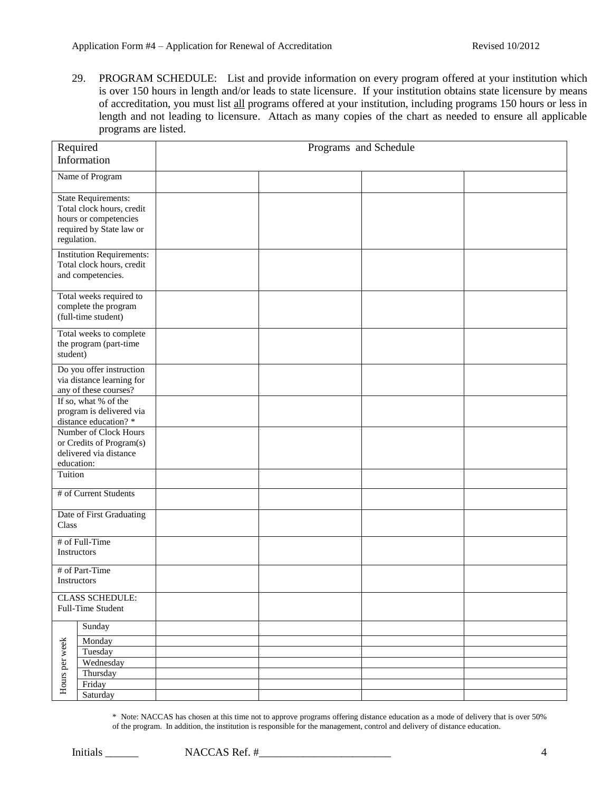29. PROGRAM SCHEDULE: List and provide information on every program offered at your institution which is over 150 hours in length and/or leads to state licensure. If your institution obtains state licensure by means of accreditation, you must list all programs offered at your institution, including programs 150 hours or less in length and not leading to licensure. Attach as many copies of the chart as needed to ensure all applicable programs are listed.

| Required<br>Information                                                                                                     |                                                                                    | Programs and Schedule |  |  |
|-----------------------------------------------------------------------------------------------------------------------------|------------------------------------------------------------------------------------|-----------------------|--|--|
|                                                                                                                             |                                                                                    |                       |  |  |
|                                                                                                                             | Name of Program                                                                    |                       |  |  |
| <b>State Requirements:</b><br>Total clock hours, credit<br>hours or competencies<br>required by State law or<br>regulation. |                                                                                    |                       |  |  |
|                                                                                                                             | <b>Institution Requirements:</b><br>Total clock hours, credit<br>and competencies. |                       |  |  |
|                                                                                                                             | Total weeks required to<br>complete the program<br>(full-time student)             |                       |  |  |
| Total weeks to complete<br>the program (part-time<br>student)                                                               |                                                                                    |                       |  |  |
|                                                                                                                             | Do you offer instruction<br>via distance learning for<br>any of these courses?     |                       |  |  |
| If so, what % of the<br>program is delivered via<br>distance education?*                                                    |                                                                                    |                       |  |  |
| Number of Clock Hours<br>or Credits of Program(s)<br>delivered via distance<br>education:                                   |                                                                                    |                       |  |  |
| Tuition                                                                                                                     |                                                                                    |                       |  |  |
| # of Current Students                                                                                                       |                                                                                    |                       |  |  |
| Date of First Graduating<br>Class                                                                                           |                                                                                    |                       |  |  |
| # of Full-Time<br>Instructors                                                                                               |                                                                                    |                       |  |  |
| # of Part-Time<br>Instructors                                                                                               |                                                                                    |                       |  |  |
| <b>CLASS SCHEDULE:</b><br>Full-Time Student                                                                                 |                                                                                    |                       |  |  |
|                                                                                                                             | Sunday                                                                             |                       |  |  |
|                                                                                                                             | Monday                                                                             |                       |  |  |
| Hours per week                                                                                                              | Tuesday                                                                            |                       |  |  |
|                                                                                                                             | Wednesday                                                                          |                       |  |  |
|                                                                                                                             | Thursday<br>Friday                                                                 |                       |  |  |
|                                                                                                                             | Saturday                                                                           |                       |  |  |

\* Note: NACCAS has chosen at this time not to approve programs offering distance education as a mode of delivery that is over 50% of the program. In addition, the institution is responsible for the management, control and delivery of distance education.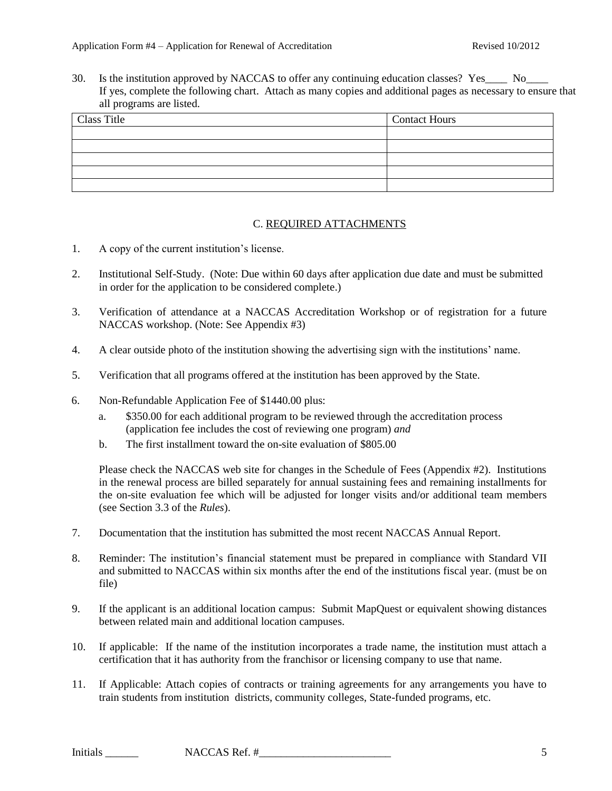30. Is the institution approved by NACCAS to offer any continuing education classes? Yes No If yes, complete the following chart. Attach as many copies and additional pages as necessary to ensure that all programs are listed.

| <b>Class Title</b> | <b>Contact Hours</b> |
|--------------------|----------------------|
|                    |                      |
|                    |                      |
|                    |                      |
|                    |                      |
|                    |                      |

### C. REQUIRED ATTACHMENTS

- 1. A copy of the current institution's license.
- 2. Institutional Self-Study. (Note: Due within 60 days after application due date and must be submitted in order for the application to be considered complete.)
- 3. Verification of attendance at a NACCAS Accreditation Workshop or of registration for a future NACCAS workshop. (Note: See Appendix #3)
- 4. A clear outside photo of the institution showing the advertising sign with the institutions' name.
- 5. Verification that all programs offered at the institution has been approved by the State.
- 6. Non-Refundable Application Fee of \$1440.00 plus:
	- a. \$350.00 for each additional program to be reviewed through the accreditation process (application fee includes the cost of reviewing one program) *and*
	- b. The first installment toward the on-site evaluation of \$805.00

Please check the NACCAS web site for changes in the Schedule of Fees (Appendix #2). Institutions in the renewal process are billed separately for annual sustaining fees and remaining installments for the on-site evaluation fee which will be adjusted for longer visits and/or additional team members (see Section 3.3 of the *Rules*).

- 7. Documentation that the institution has submitted the most recent NACCAS Annual Report.
- 8. Reminder: The institution's financial statement must be prepared in compliance with Standard VII and submitted to NACCAS within six months after the end of the institutions fiscal year. (must be on file)
- 9. If the applicant is an additional location campus: Submit MapQuest or equivalent showing distances between related main and additional location campuses.
- 10. If applicable: If the name of the institution incorporates a trade name, the institution must attach a certification that it has authority from the franchisor or licensing company to use that name.
- 11. If Applicable: Attach copies of contracts or training agreements for any arrangements you have to train students from institution districts, community colleges, State-funded programs, etc.